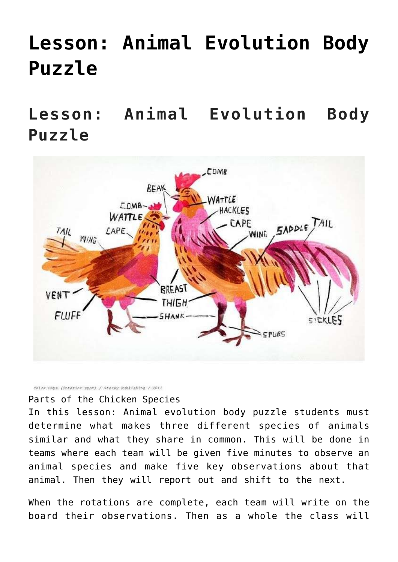## **[Lesson: Animal Evolution Body](https://mezzacello.org/2021/03/13/lesson-animal-evolution-body-puzzle/) [Puzzle](https://mezzacello.org/2021/03/13/lesson-animal-evolution-body-puzzle/)**

**Lesson: Animal Evolution Body Puzzle**



Chick Days (interior spot) / Storey Publishing / 2011

Parts of the Chicken Species

In this lesson: Animal evolution body puzzle students must determine what makes three different species of animals similar and what they share in common. This will be done in teams where each team will be given five minutes to observe an animal species and make five key observations about that animal. Then they will report out and shift to the next.

When the rotations are complete, each team will write on the board their observations. Then as a whole the class will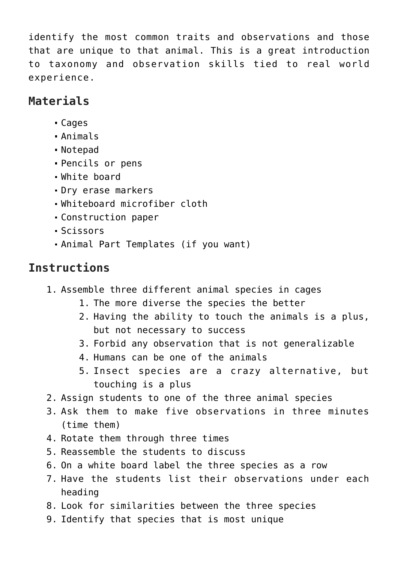identify the most common traits and observations and those that are unique to that animal. This is a great introduction to taxonomy and observation skills tied to real world experience.

## **Materials**

- Cages
- Animals
- Notepad
- Pencils or pens
- White board
- Dry erase markers
- Whiteboard microfiber cloth
- Construction paper
- Scissors
- Animal Part Templates (if you want)

## **Instructions**

- 1. Assemble three different animal species in cages
	- 1. The more diverse the species the better
	- 2. Having the ability to touch the animals is a plus, but not necessary to success
	- 3. Forbid any observation that is not generalizable
	- 4. Humans can be one of the animals
	- 5. Insect species are a crazy alternative, but touching is a plus
- 2. Assign students to one of the three animal species
- 3. Ask them to make five observations in three minutes (time them)
- 4. Rotate them through three times
- 5. Reassemble the students to discuss
- 6. On a white board label the three species as a row
- 7. Have the students list their observations under each heading
- 8. Look for similarities between the three species
- 9. Identify that species that is most unique